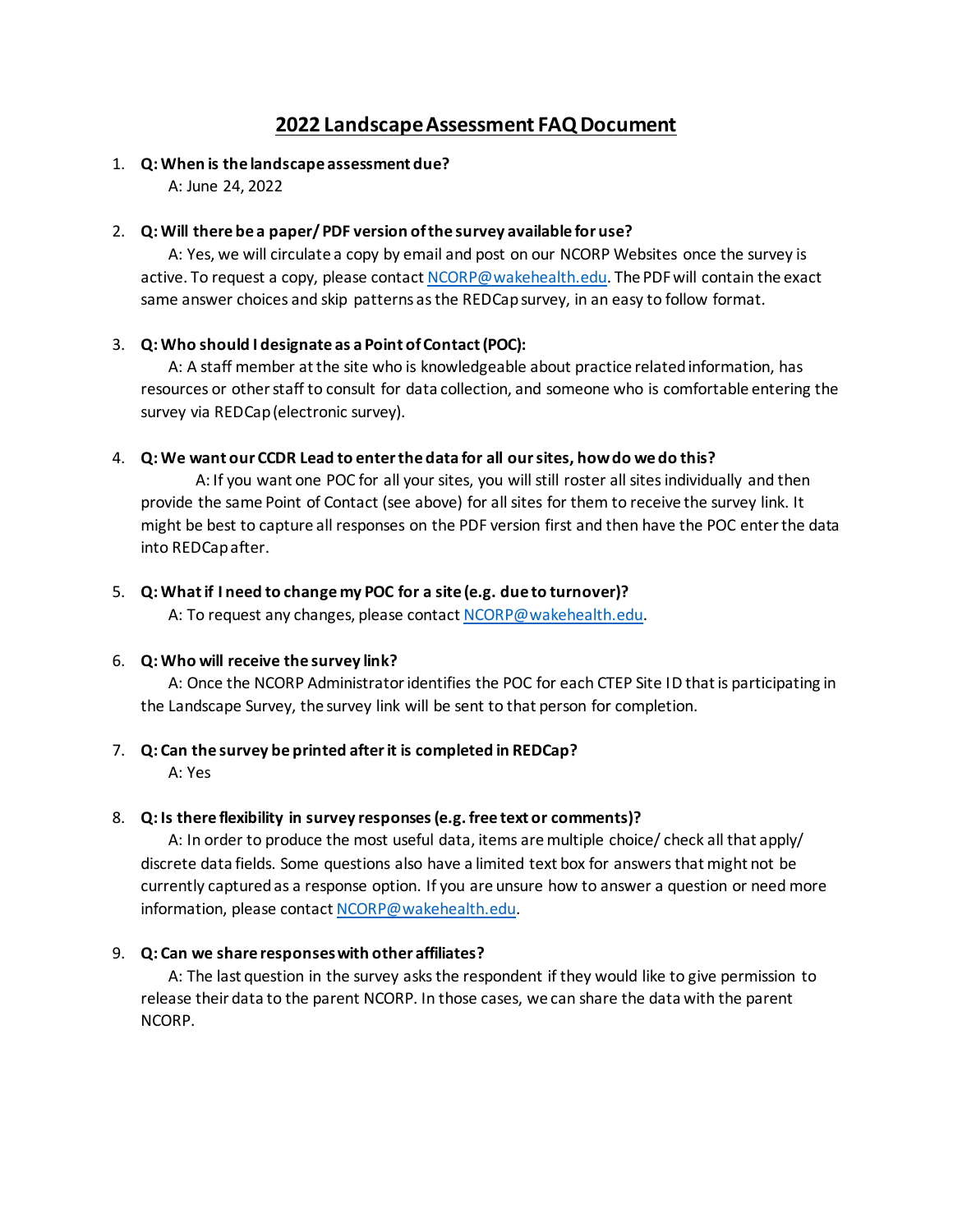# **2022 Landscape Assessment FAQ Document**

# 1. **Q: When is the landscape assessment due?**

A: June 24, 2022

### 2. **Q: Will there be a paper/ PDF version of the survey available for use?**

A: Yes, we will circulate a copy by email and post on our NCORP Websites once the survey is active. To request a copy, please contac[t NCORP@wakehealth.edu](mailto:NCORP@wakehealth.edu). The PDF will contain the exact same answer choices and skip patterns as the REDCapsurvey, in an easy to follow format.

# 3. **Q: Who should I designate as a Point of Contact (POC):**

A: A staff member at the site who is knowledgeable about practice related information, has resources or other staff to consult for data collection, and someone who is comfortable entering the survey via REDCap (electronic survey).

### 4. **Q: We want our CCDR Lead to enter the data for all our sites, how do we do this?**

 A: If you want one POC for all your sites, you will still roster all sites individually and then provide the same Point of Contact (see above) for all sites for them to receive the survey link. It might be best to capture all responses on the PDF version first and then have the POC enter the data into REDCap after.

### 5. **Q: What if I need to change my POC for a site (e.g. due to turnover)?**

A: To request any changes, please contact [NCORP@wakehealth.edu.](mailto:NCORP@wakehealth.edu)

# 6. **Q: Who will receive the survey link?**

A: Once the NCORP Administrator identifies the POC for each CTEP Site ID that is participating in the Landscape Survey, the survey link will be sent to that person for completion.

# 7. **Q: Can the survey be printed after it is completed in REDCap?**

A: Yes

# 8. **Q: Is there flexibility in survey responses (e.g. free text or comments)?**

A: In order to produce the most useful data, items are multiple choice/ check all that apply/ discrete data fields. Some questions also have a limited text box for answers that might not be currently captured as a response option. If you are unsure how to answer a question or need more information, please contac[t NCORP@wakehealth.edu.](mailto:NCORP@wakehealth.edu)

#### 9. **Q: Can we share responses with other affiliates?**

A: The last question in the survey asks the respondent if they would like to give permission to release their data to the parent NCORP. In those cases, we can share the data with the parent NCORP.